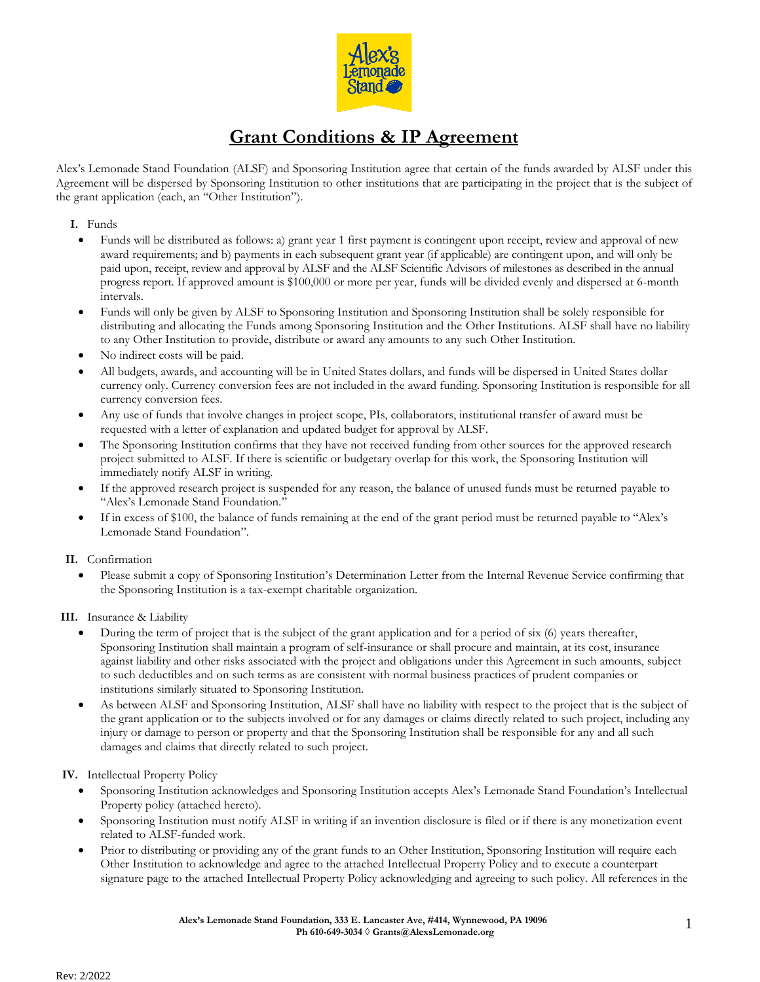

# **Grant Conditions & IP Agreement**

Alex's Lemonade Stand Foundation (ALSF) and Sponsoring Institution agree that certain of the funds awarded by ALSF under this Agreement will be dispersed by Sponsoring Institution to other institutions that are participating in the project that is the subject of the grant application (each, an "Other Institution").

**I.** Funds

- Funds will be distributed as follows: a) grant year 1 first payment is contingent upon receipt, review and approval of new award requirements; and b) payments in each subsequent grant year (if applicable) are contingent upon, and will only be paid upon, receipt, review and approval by ALSF and the ALSF Scientific Advisors of milestones as described in the annual progress report. If approved amount is \$100,000 or more per year, funds will be divided evenly and dispersed at 6-month intervals.
- Funds will only be given by ALSF to Sponsoring Institution and Sponsoring Institution shall be solely responsible for distributing and allocating the Funds among Sponsoring Institution and the Other Institutions. ALSF shall have no liability to any Other Institution to provide, distribute or award any amounts to any such Other Institution.
- No indirect costs will be paid.
- All budgets, awards, and accounting will be in United States dollars, and funds will be dispersed in United States dollar currency only. Currency conversion fees are not included in the award funding. Sponsoring Institution is responsible for all currency conversion fees.
- Any use of funds that involve changes in project scope, PIs, collaborators, institutional transfer of award must be requested with a letter of explanation and updated budget for approval by ALSF.
- The Sponsoring Institution confirms that they have not received funding from other sources for the approved research project submitted to ALSF. If there is scientific or budgetary overlap for this work, the Sponsoring Institution will immediately notify ALSF in writing.
- If the approved research project is suspended for any reason, the balance of unused funds must be returned payable to "Alex's Lemonade Stand Foundation."
- If in excess of \$100, the balance of funds remaining at the end of the grant period must be returned payable to "Alex's Lemonade Stand Foundation".

#### **II.** Confirmation

• Please submit a copy of Sponsoring Institution's Determination Letter from the Internal Revenue Service confirming that the Sponsoring Institution is a tax-exempt charitable organization.

**III.** Insurance & Liability

- During the term of project that is the subject of the grant application and for a period of six (6) years thereafter, Sponsoring Institution shall maintain a program of self-insurance or shall procure and maintain, at its cost, insurance against liability and other risks associated with the project and obligations under this Agreement in such amounts, subject to such deductibles and on such terms as are consistent with normal business practices of prudent companies or institutions similarly situated to Sponsoring Institution.
- As between ALSF and Sponsoring Institution, ALSF shall have no liability with respect to the project that is the subject of the grant application or to the subjects involved or for any damages or claims directly related to such project, including any injury or damage to person or property and that the Sponsoring Institution shall be responsible for any and all such damages and claims that directly related to such project.

**IV.** Intellectual Property Policy

- Sponsoring Institution acknowledges and Sponsoring Institution accepts Alex's Lemonade Stand Foundation's Intellectual Property policy (attached hereto).
- Sponsoring Institution must notify ALSF in writing if an invention disclosure is filed or if there is any monetization event related to ALSF-funded work.
- Prior to distributing or providing any of the grant funds to an Other Institution, Sponsoring Institution will require each Other Institution to acknowledge and agree to the attached Intellectual Property Policy and to execute a counterpart signature page to the attached Intellectual Property Policy acknowledging and agreeing to such policy. All references in the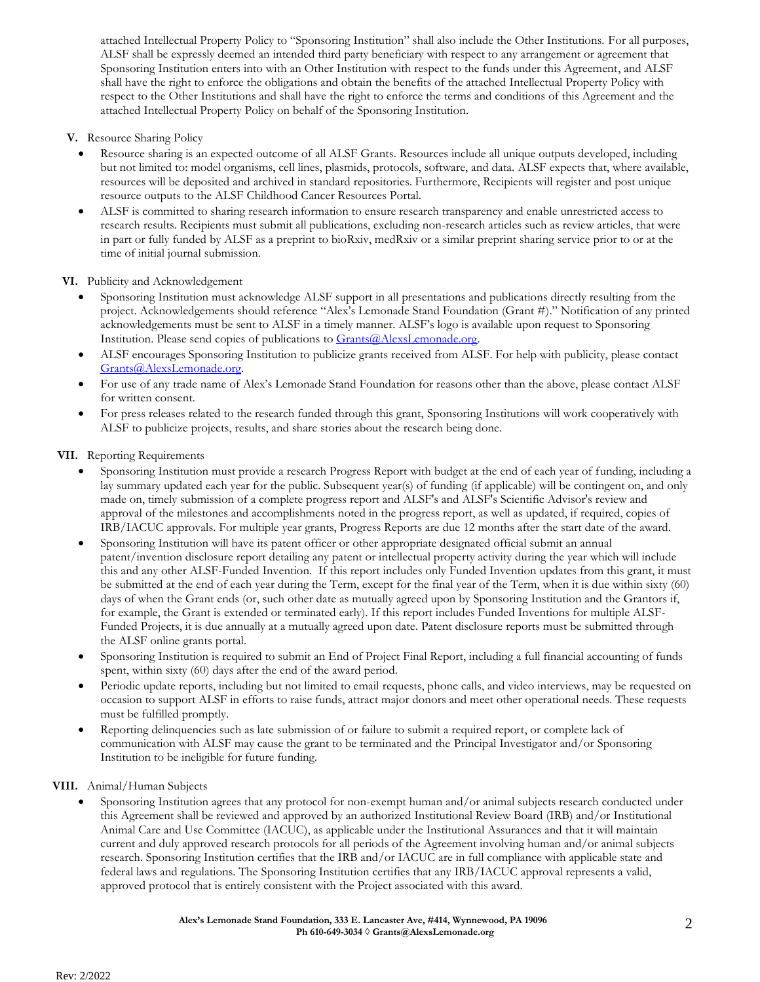attached Intellectual Property Policy to "Sponsoring Institution" shall also include the Other Institutions. For all purposes, ALSF shall be expressly deemed an intended third party beneficiary with respect to any arrangement or agreement that Sponsoring Institution enters into with an Other Institution with respect to the funds under this Agreement, and ALSF shall have the right to enforce the obligations and obtain the benefits of the attached Intellectual Property Policy with respect to the Other Institutions and shall have the right to enforce the terms and conditions of this Agreement and the attached Intellectual Property Policy on behalf of the Sponsoring Institution.

- **V.** Resource Sharing Policy
	- Resource sharing is an expected outcome of all ALSF Grants. Resources include all unique outputs developed, including but not limited to: model organisms, cell lines, plasmids, protocols, software, and data. ALSF expects that, where available, resources will be deposited and archived in standard repositories. Furthermore, Recipients will register and post unique resource outputs to the ALSF Childhood Cancer Resources Portal.
	- ALSF is committed to sharing research information to ensure research transparency and enable unrestricted access to research results. Recipients must submit all publications, excluding non-research articles such as review articles, that were in part or fully funded by ALSF as a preprint to bioRxiv, medRxiv or a similar preprint sharing service prior to or at the time of initial journal submission.

**VI.** Publicity and Acknowledgement

- Sponsoring Institution must acknowledge ALSF support in all presentations and publications directly resulting from the project. Acknowledgements should reference "Alex's Lemonade Stand Foundation (Grant #)." Notification of any printed acknowledgements must be sent to ALSF in a timely manner. ALSF's logo is available upon request to Sponsoring Institution. Please send copies of publications to [Grants@AlexsLemonade.org.](mailto:Grants@AlexsLemonade.org)
- ALSF encourages Sponsoring Institution to publicize grants received from ALSF. For help with publicity, please contact Grants@AlexsLemonade.org.
- For use of any trade name of Alex's Lemonade Stand Foundation for reasons other than the above, please contact ALSF for written consent.
- For press releases related to the research funded through this grant, Sponsoring Institutions will work cooperatively with ALSF to publicize projects, results, and share stories about the research being done.

#### **VII.** Reporting Requirements

- Sponsoring Institution must provide a research Progress Report with budget at the end of each year of funding, including a lay summary updated each year for the public. Subsequent year(s) of funding (if applicable) will be contingent on, and only made on, timely submission of a complete progress report and ALSF's and ALSF's Scientific Advisor's review and approval of the milestones and accomplishments noted in the progress report, as well as updated, if required, copies of IRB/IACUC approvals. For multiple year grants, Progress Reports are due 12 months after the start date of the award.
- Sponsoring Institution will have its patent officer or other appropriate designated official submit an annual patent/invention disclosure report detailing any patent or intellectual property activity during the year which will include this and any other ALSF-Funded Invention. If this report includes only Funded Invention updates from this grant, it must be submitted at the end of each year during the Term, except for the final year of the Term, when it is due within sixty (60) days of when the Grant ends (or, such other date as mutually agreed upon by Sponsoring Institution and the Grantors if, for example, the Grant is extended or terminated early). If this report includes Funded Inventions for multiple ALSF-Funded Projects, it is due annually at a mutually agreed upon date. Patent disclosure reports must be submitted through the ALSF online grants portal.
- Sponsoring Institution is required to submit an End of Project Final Report, including a full financial accounting of funds spent, within sixty (60) days after the end of the award period.
- Periodic update reports, including but not limited to email requests, phone calls, and video interviews, may be requested on occasion to support ALSF in efforts to raise funds, attract major donors and meet other operational needs. These requests must be fulfilled promptly.
- Reporting delinquencies such as late submission of or failure to submit a required report, or complete lack of communication with ALSF may cause the grant to be terminated and the Principal Investigator and/or Sponsoring Institution to be ineligible for future funding.

### **VIII.** Animal/Human Subjects

• Sponsoring Institution agrees that any protocol for non-exempt human and/or animal subjects research conducted under this Agreement shall be reviewed and approved by an authorized Institutional Review Board (IRB) and/or Institutional Animal Care and Use Committee (IACUC), as applicable under the Institutional Assurances and that it will maintain current and duly approved research protocols for all periods of the Agreement involving human and/or animal subjects research. Sponsoring Institution certifies that the IRB and/or IACUC are in full compliance with applicable state and federal laws and regulations. The Sponsoring Institution certifies that any IRB/IACUC approval represents a valid, approved protocol that is entirely consistent with the Project associated with this award.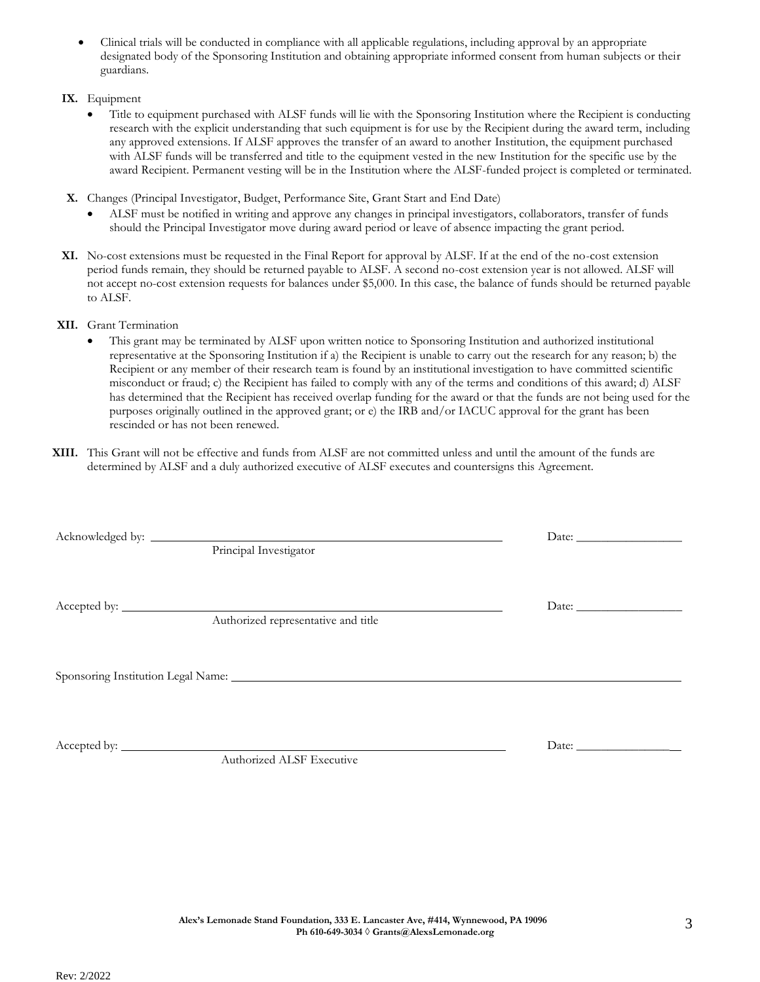Rev: 2/2022

- Clinical trials will be conducted in compliance with all applicable regulations, including approval by an appropriate designated body of the Sponsoring Institution and obtaining appropriate informed consent from human subjects or their guardians.
- **IX.** Equipment
	- Title to equipment purchased with ALSF funds will lie with the Sponsoring Institution where the Recipient is conducting research with the explicit understanding that such equipment is for use by the Recipient during the award term, including any approved extensions. If ALSF approves the transfer of an award to another Institution, the equipment purchased with ALSF funds will be transferred and title to the equipment vested in the new Institution for the specific use by the award Recipient. Permanent vesting will be in the Institution where the ALSF-funded project is completed or terminated.
- **X.** Changes (Principal Investigator, Budget, Performance Site, Grant Start and End Date)
	- ALSF must be notified in writing and approve any changes in principal investigators, collaborators, transfer of funds should the Principal Investigator move during award period or leave of absence impacting the grant period.
- **XI.** No-cost extensions must be requested in the Final Report for approval by ALSF. If at the end of the no-cost extension period funds remain, they should be returned payable to ALSF. A second no-cost extension year is not allowed. ALSF will not accept no-cost extension requests for balances under \$5,000. In this case, the balance of funds should be returned payable to ALSF.
- **XII.** Grant Termination
	- This grant may be terminated by ALSF upon written notice to Sponsoring Institution and authorized institutional representative at the Sponsoring Institution if a) the Recipient is unable to carry out the research for any reason; b) the Recipient or any member of their research team is found by an institutional investigation to have committed scientific misconduct or fraud; c) the Recipient has failed to comply with any of the terms and conditions of this award; d) ALSF has determined that the Recipient has received overlap funding for the award or that the funds are not being used for the purposes originally outlined in the approved grant; or e) the IRB and/or IACUC approval for the grant has been rescinded or has not been renewed.
- **XIII.** This Grant will not be effective and funds from ALSF are not committed unless and until the amount of the funds are determined by ALSF and a duly authorized executive of ALSF executes and countersigns this Agreement.

|  |                                     | Date: |
|--|-------------------------------------|-------|
|  | Principal Investigator              |       |
|  |                                     |       |
|  |                                     |       |
|  | Authorized representative and title |       |
|  |                                     |       |
|  |                                     |       |
|  |                                     |       |
|  |                                     |       |
|  |                                     |       |
|  |                                     |       |
|  |                                     |       |

Authorized ALSF Executive

Accepted by: Date: \_\_\_\_\_\_\_\_\_\_\_\_\_\_\_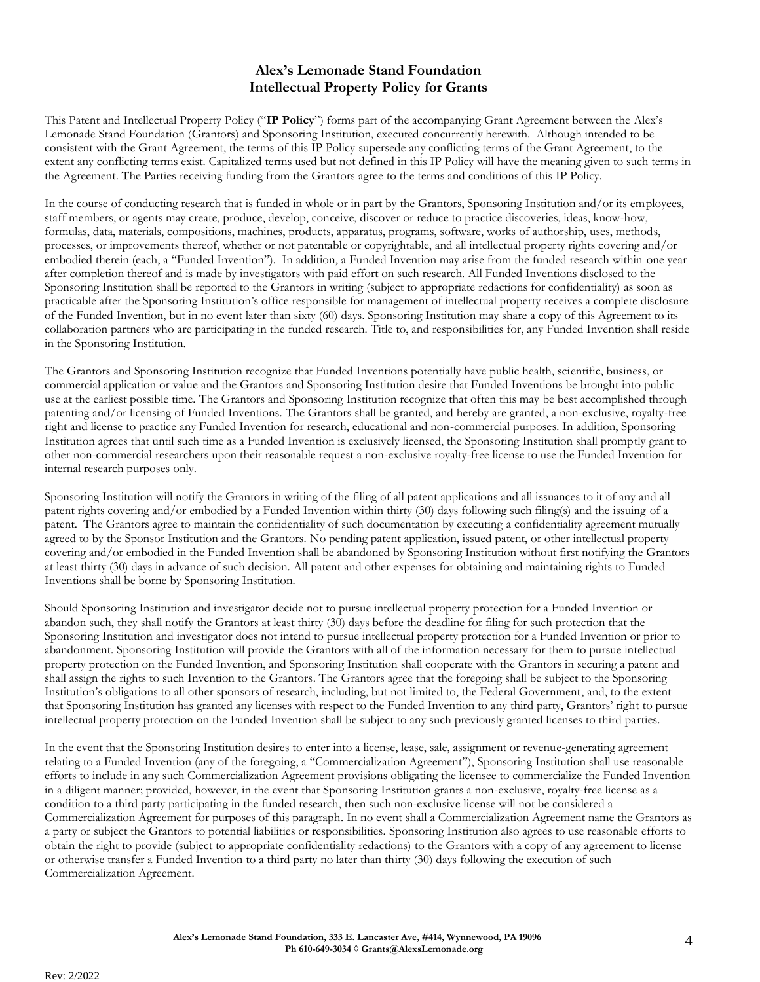## **Alex's Lemonade Stand Foundation Intellectual Property Policy for Grants**

This Patent and Intellectual Property Policy ("**IP Policy**") forms part of the accompanying Grant Agreement between the Alex's Lemonade Stand Foundation (Grantors) and Sponsoring Institution, executed concurrently herewith. Although intended to be consistent with the Grant Agreement, the terms of this IP Policy supersede any conflicting terms of the Grant Agreement, to the extent any conflicting terms exist. Capitalized terms used but not defined in this IP Policy will have the meaning given to such terms in the Agreement. The Parties receiving funding from the Grantors agree to the terms and conditions of this IP Policy.

In the course of conducting research that is funded in whole or in part by the Grantors, Sponsoring Institution and/or its employees, staff members, or agents may create, produce, develop, conceive, discover or reduce to practice discoveries, ideas, know-how, formulas, data, materials, compositions, machines, products, apparatus, programs, software, works of authorship, uses, methods, processes, or improvements thereof, whether or not patentable or copyrightable, and all intellectual property rights covering and/or embodied therein (each, a "Funded Invention"). In addition, a Funded Invention may arise from the funded research within one year after completion thereof and is made by investigators with paid effort on such research. All Funded Inventions disclosed to the Sponsoring Institution shall be reported to the Grantors in writing (subject to appropriate redactions for confidentiality) as soon as practicable after the Sponsoring Institution's office responsible for management of intellectual property receives a complete disclosure of the Funded Invention, but in no event later than sixty (60) days. Sponsoring Institution may share a copy of this Agreement to its collaboration partners who are participating in the funded research. Title to, and responsibilities for, any Funded Invention shall reside in the Sponsoring Institution.

The Grantors and Sponsoring Institution recognize that Funded Inventions potentially have public health, scientific, business, or commercial application or value and the Grantors and Sponsoring Institution desire that Funded Inventions be brought into public use at the earliest possible time. The Grantors and Sponsoring Institution recognize that often this may be best accomplished through patenting and/or licensing of Funded Inventions. The Grantors shall be granted, and hereby are granted, a non-exclusive, royalty-free right and license to practice any Funded Invention for research, educational and non-commercial purposes. In addition, Sponsoring Institution agrees that until such time as a Funded Invention is exclusively licensed, the Sponsoring Institution shall promptly grant to other non-commercial researchers upon their reasonable request a non-exclusive royalty-free license to use the Funded Invention for internal research purposes only.

Sponsoring Institution will notify the Grantors in writing of the filing of all patent applications and all issuances to it of any and all patent rights covering and/or embodied by a Funded Invention within thirty (30) days following such filing(s) and the issuing of a patent. The Grantors agree to maintain the confidentiality of such documentation by executing a confidentiality agreement mutually agreed to by the Sponsor Institution and the Grantors. No pending patent application, issued patent, or other intellectual property covering and/or embodied in the Funded Invention shall be abandoned by Sponsoring Institution without first notifying the Grantors at least thirty (30) days in advance of such decision. All patent and other expenses for obtaining and maintaining rights to Funded Inventions shall be borne by Sponsoring Institution.

Should Sponsoring Institution and investigator decide not to pursue intellectual property protection for a Funded Invention or abandon such, they shall notify the Grantors at least thirty (30) days before the deadline for filing for such protection that the Sponsoring Institution and investigator does not intend to pursue intellectual property protection for a Funded Invention or prior to abandonment. Sponsoring Institution will provide the Grantors with all of the information necessary for them to pursue intellectual property protection on the Funded Invention, and Sponsoring Institution shall cooperate with the Grantors in securing a patent and shall assign the rights to such Invention to the Grantors. The Grantors agree that the foregoing shall be subject to the Sponsoring Institution's obligations to all other sponsors of research, including, but not limited to, the Federal Government, and, to the extent that Sponsoring Institution has granted any licenses with respect to the Funded Invention to any third party, Grantors' right to pursue intellectual property protection on the Funded Invention shall be subject to any such previously granted licenses to third parties.

In the event that the Sponsoring Institution desires to enter into a license, lease, sale, assignment or revenue-generating agreement relating to a Funded Invention (any of the foregoing, a "Commercialization Agreement"), Sponsoring Institution shall use reasonable efforts to include in any such Commercialization Agreement provisions obligating the licensee to commercialize the Funded Invention in a diligent manner; provided, however, in the event that Sponsoring Institution grants a non-exclusive, royalty-free license as a condition to a third party participating in the funded research, then such non-exclusive license will not be considered a Commercialization Agreement for purposes of this paragraph. In no event shall a Commercialization Agreement name the Grantors as a party or subject the Grantors to potential liabilities or responsibilities. Sponsoring Institution also agrees to use reasonable efforts to obtain the right to provide (subject to appropriate confidentiality redactions) to the Grantors with a copy of any agreement to license or otherwise transfer a Funded Invention to a third party no later than thirty (30) days following the execution of such Commercialization Agreement.